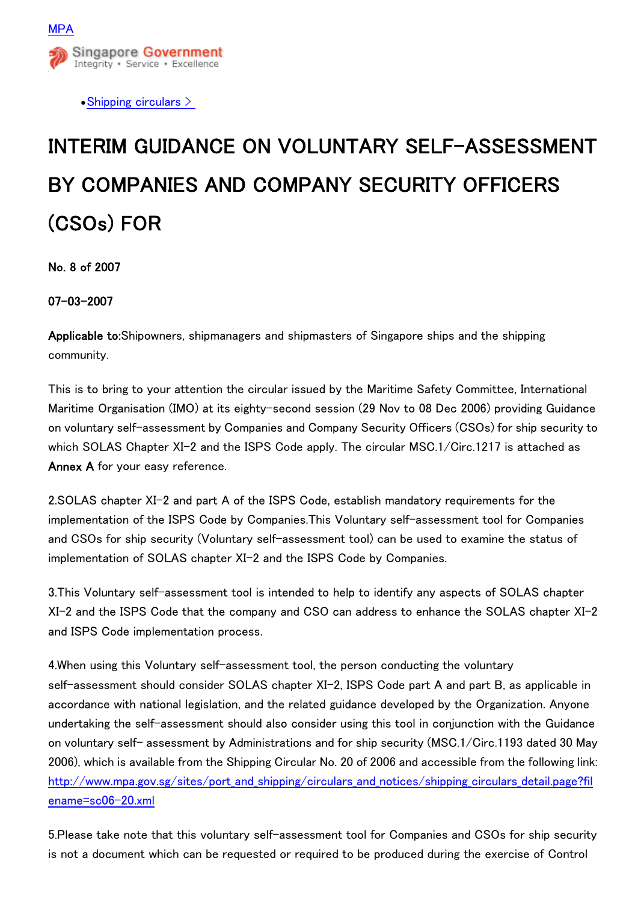

• Shipping circulars  $\geq$ 

## INTERIM GUIDANCE ON VOLUNTARY SELF-ASSESSMENT BY COMPANIES AND COMPANY SECURITY OFFICERS (CSOs) FOR

No. 8 of 2007

07-03-2007

Applicable to:Shipowners, shipmanagers and shipmasters of Singapore ships and the shipping community.

This is to bring to your attention the circular issued by the Maritime Safety Committee, International Maritime Organisation (IMO) at its eighty-second session (29 Nov to 08 Dec 2006) providing Guidance on voluntary self-assessment by Companies and Company Security Officers (CSOs) for ship security to which SOLAS Chapter XI-2 and the ISPS Code apply. The circular MSC.1/Circ.1217 is attached as Annex A for your easy reference.

2.SOLAS chapter XI-2 and part A of the ISPS Code, establish mandatory requirements for the implementation of the ISPS Code by Companies.This Voluntary self-assessment tool for Companies and CSOs for ship security (Voluntary self-assessment tool) can be used to examine the status of implementation of SOLAS chapter XI-2 and the ISPS Code by Companies.

3.This Voluntary self-assessment tool is intended to help to identify any aspects of SOLAS chapter XI-2 and the ISPS Code that the company and CSO can address to enhance the SOLAS chapter XI-2 and ISPS Code implementation process.

4.When using this Voluntary self-assessment tool, the person conducting the voluntary self-assessment should consider SOLAS chapter XI-2, ISPS Code part A and part B, as applicable in accordance with national legislation, and the related guidance developed by the Organization. Anyone undertaking the self-assessment should also consider using this tool in conjunction with the Guidance on voluntary self- assessment by Administrations and for ship security (MSC.1/Circ.1193 dated 30 May 2006), which is available from the Shipping Circular No. 20 of 2006 and accessible from the following link: [http://www.mpa.gov.sg/sites/port\\_and\\_shipping/circulars\\_and\\_notices/shipping\\_circulars\\_detail.page?fil](http://www.mpa.gov.sg/sites/port_and_shipping/circulars_and_notices/shipping_circulars_detail.page?filename=sc06-20.xml) [ename=sc06-20.xml](http://www.mpa.gov.sg/sites/port_and_shipping/circulars_and_notices/shipping_circulars_detail.page?filename=sc06-20.xml)

5.Please take note that this voluntary self-assessment tool for Companies and CSOs for ship security is not a document which can be requested or required to be produced during the exercise of Control